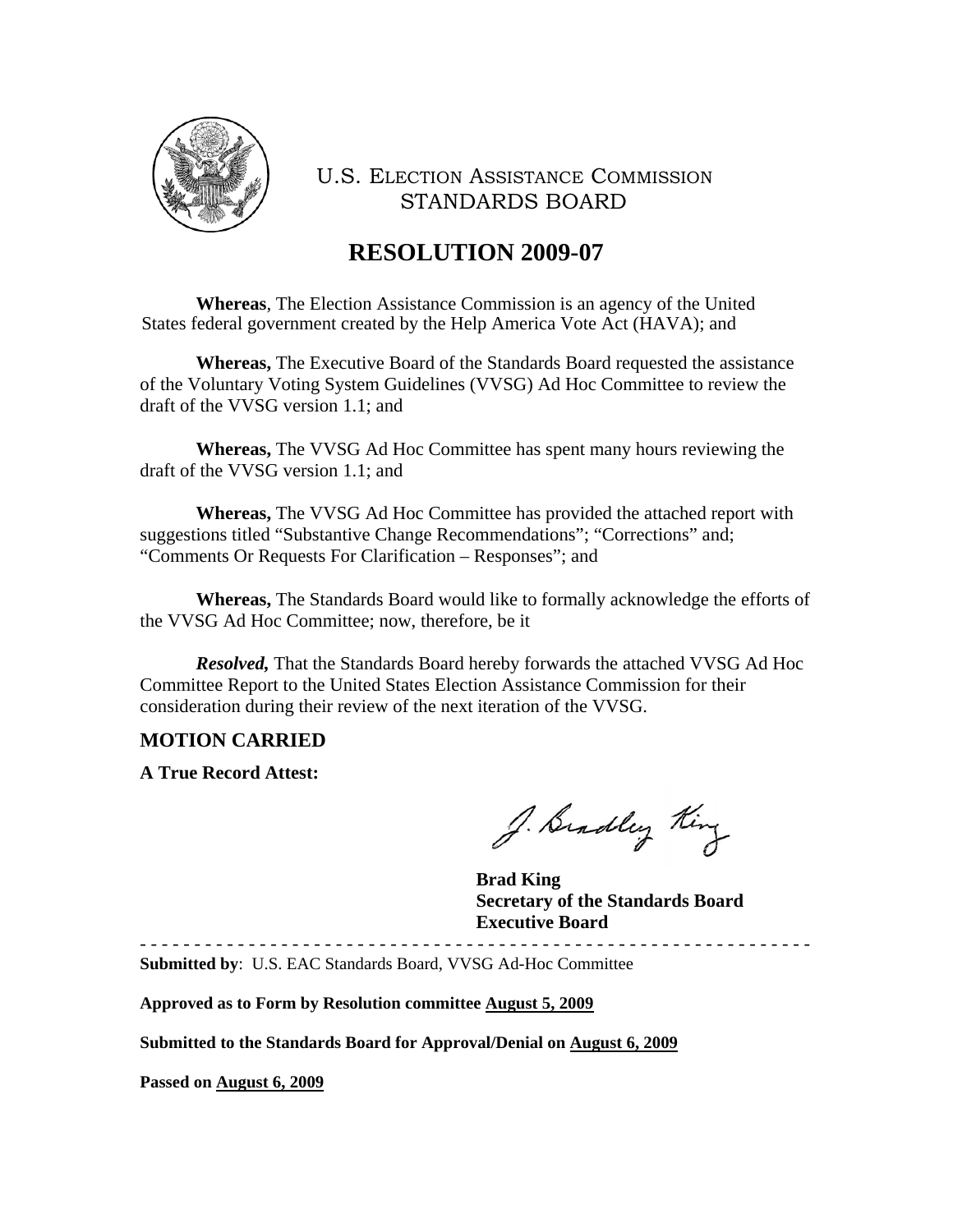

# **RESOLUTION 2009-07**

**Whereas**, The Election Assistance Commission is an agency of the United States federal government created by the Help America Vote Act (HAVA); and

 **Whereas,** The Executive Board of the Standards Board requested the assistance of the Voluntary Voting System Guidelines (VVSG) Ad Hoc Committee to review the draft of the VVSG version 1.1; and

**Whereas,** The VVSG Ad Hoc Committee has spent many hours reviewing the draft of the VVSG version 1.1; and

**Whereas,** The VVSG Ad Hoc Committee has provided the attached report with suggestions titled "Substantive Change Recommendations"; "Corrections" and; "Comments Or Requests For Clarification – Responses"; and

**Whereas,** The Standards Board would like to formally acknowledge the efforts of the VVSG Ad Hoc Committee; now, therefore, be it

 *Resolved,* That the Standards Board hereby forwards the attached VVSG Ad Hoc Committee Report to the United States Election Assistance Commission for their consideration during their review of the next iteration of the VVSG.

#### **MOTION CARRIED**

**A True Record Attest:** 

J. Bradley King

 **Brad King Secretary of the Standards Board Executive Board** 

- - - - - - - - - - - - - - - - - - - - - - - - - - - - - - - - - - - - - - - - - - - - - - - - - - - - - - - - - - - - - - **Submitted by**: U.S. EAC Standards Board, VVSG Ad-Hoc Committee

**Approved as to Form by Resolution committee August 5, 2009**

**Submitted to the Standards Board for Approval/Denial on August 6, 2009**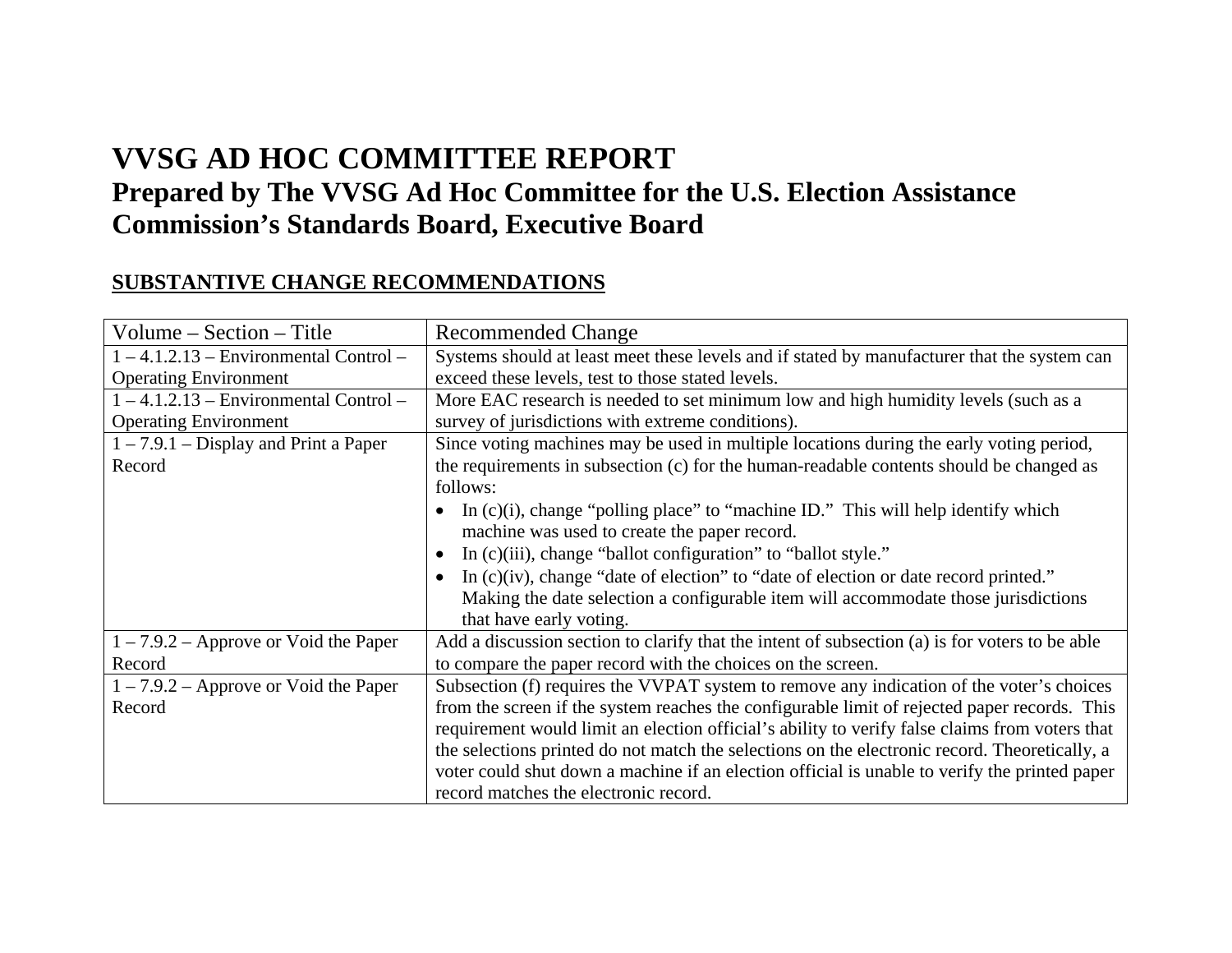# **VVSG AD HOC COMMITTEE REPORT Prepared by The VVSG Ad Hoc Committee for the U.S. Election Assistance Commission's Standards Board, Executive Board**

### **SUBSTANTIVE CHANGE RECOMMENDATIONS**

| $Volume - Section - Title$               | <b>Recommended Change</b>                                                                                                                                                                       |  |  |
|------------------------------------------|-------------------------------------------------------------------------------------------------------------------------------------------------------------------------------------------------|--|--|
| $1 - 4.1.2.13$ – Environmental Control – | Systems should at least meet these levels and if stated by manufacturer that the system can                                                                                                     |  |  |
| <b>Operating Environment</b>             | exceed these levels, test to those stated levels.                                                                                                                                               |  |  |
| $1 - 4.1.2.13$ – Environmental Control – | More EAC research is needed to set minimum low and high humidity levels (such as a                                                                                                              |  |  |
| <b>Operating Environment</b>             | survey of jurisdictions with extreme conditions).                                                                                                                                               |  |  |
| $1 - 7.9.1 - Display$ and Print a Paper  | Since voting machines may be used in multiple locations during the early voting period,                                                                                                         |  |  |
| Record                                   | the requirements in subsection (c) for the human-readable contents should be changed as                                                                                                         |  |  |
|                                          | follows:                                                                                                                                                                                        |  |  |
|                                          | In $(c)(i)$ , change "polling place" to "machine ID." This will help identify which                                                                                                             |  |  |
|                                          | machine was used to create the paper record.                                                                                                                                                    |  |  |
|                                          | In (c)(iii), change "ballot configuration" to "ballot style."<br>$\bullet$                                                                                                                      |  |  |
|                                          | In $(c)(iv)$ , change "date of election" to "date of election or date record printed."<br>$\bullet$                                                                                             |  |  |
|                                          | Making the date selection a configurable item will accommodate those jurisdictions                                                                                                              |  |  |
|                                          | that have early voting.                                                                                                                                                                         |  |  |
| $1 - 7.9.2$ – Approve or Void the Paper  | Add a discussion section to clarify that the intent of subsection (a) is for voters to be able                                                                                                  |  |  |
| Record                                   | to compare the paper record with the choices on the screen.                                                                                                                                     |  |  |
| $1 - 7.9.2$ – Approve or Void the Paper  | Subsection (f) requires the VVPAT system to remove any indication of the voter's choices                                                                                                        |  |  |
| Record                                   | from the screen if the system reaches the configurable limit of rejected paper records. This                                                                                                    |  |  |
|                                          | requirement would limit an election official's ability to verify false claims from voters that<br>the selections printed do not match the selections on the electronic record. Theoretically, a |  |  |
|                                          |                                                                                                                                                                                                 |  |  |
|                                          | voter could shut down a machine if an election official is unable to verify the printed paper                                                                                                   |  |  |
|                                          | record matches the electronic record.                                                                                                                                                           |  |  |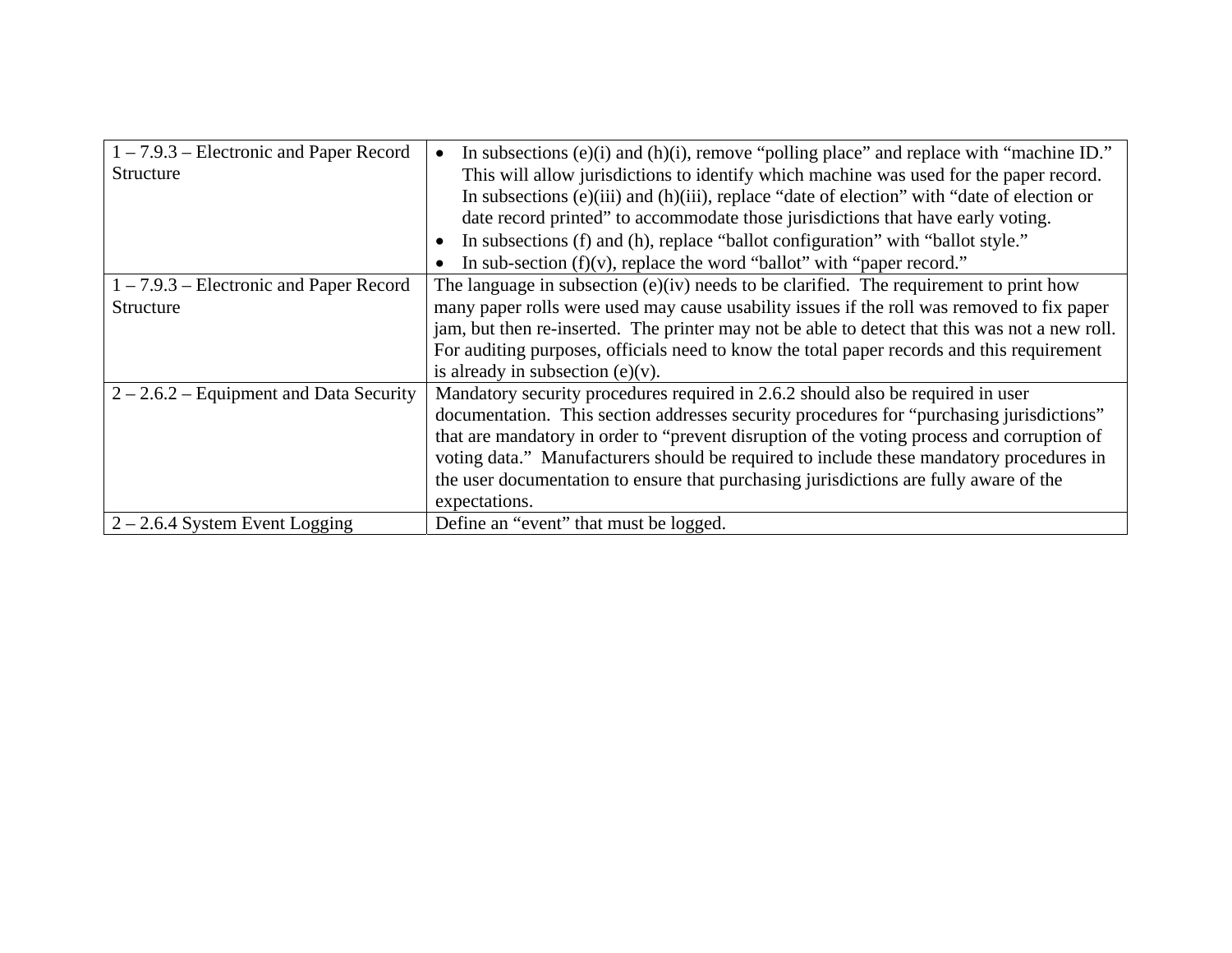| $1 - 7.9.3$ – Electronic and Paper Record<br>Structure | In subsections (e)(i) and (h)(i), remove "polling place" and replace with "machine ID."<br>$\bullet$<br>This will allow jurisdictions to identify which machine was used for the paper record.<br>In subsections (e)(iii) and (h)(iii), replace "date of election" with "date of election or<br>date record printed" to accommodate those jurisdictions that have early voting.                                                                                                |  |  |
|--------------------------------------------------------|--------------------------------------------------------------------------------------------------------------------------------------------------------------------------------------------------------------------------------------------------------------------------------------------------------------------------------------------------------------------------------------------------------------------------------------------------------------------------------|--|--|
|                                                        | In subsections (f) and (h), replace "ballot configuration" with "ballot style."<br>$\bullet$                                                                                                                                                                                                                                                                                                                                                                                   |  |  |
|                                                        | In sub-section $(f)(v)$ , replace the word "ballot" with "paper record."                                                                                                                                                                                                                                                                                                                                                                                                       |  |  |
| $1 - 7.9.3$ – Electronic and Paper Record<br>Structure | The language in subsection $(e)(iv)$ needs to be clarified. The requirement to print how<br>many paper rolls were used may cause usability issues if the roll was removed to fix paper<br>jam, but then re-inserted. The printer may not be able to detect that this was not a new roll.<br>For auditing purposes, officials need to know the total paper records and this requirement                                                                                         |  |  |
|                                                        | is already in subsection $(e)(v)$ .                                                                                                                                                                                                                                                                                                                                                                                                                                            |  |  |
| $2 - 2.6.2$ – Equipment and Data Security              | Mandatory security procedures required in 2.6.2 should also be required in user<br>documentation. This section addresses security procedures for "purchasing jurisdictions"<br>that are mandatory in order to "prevent disruption of the voting process and corruption of<br>voting data." Manufacturers should be required to include these mandatory procedures in<br>the user documentation to ensure that purchasing jurisdictions are fully aware of the<br>expectations. |  |  |
| $2 - 2.6.4$ System Event Logging                       | Define an "event" that must be logged.                                                                                                                                                                                                                                                                                                                                                                                                                                         |  |  |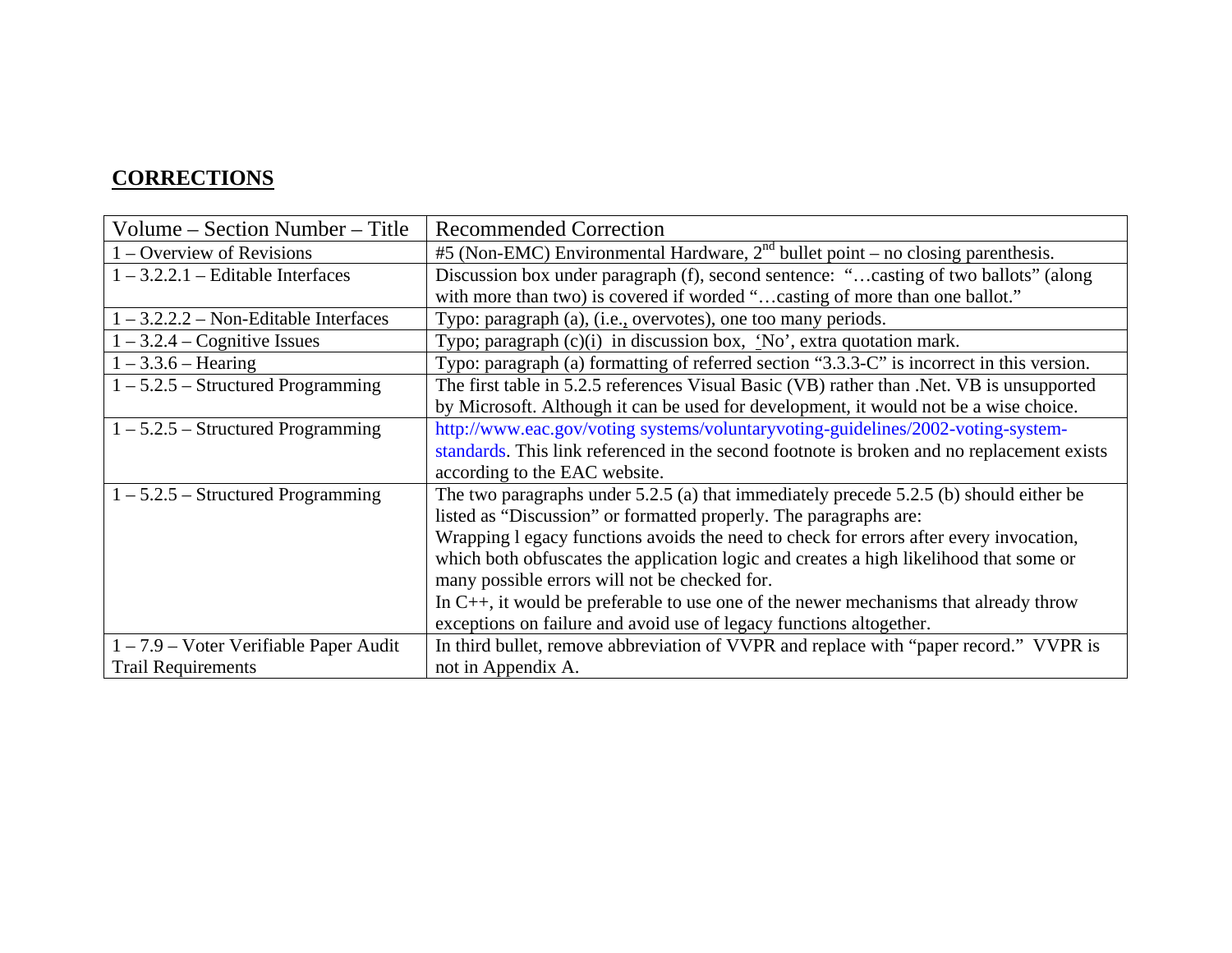#### **CORRECTIONS**

| Volume – Section Number – Title         | <b>Recommended Correction</b>                                                              |  |
|-----------------------------------------|--------------------------------------------------------------------------------------------|--|
| 1 – Overview of Revisions               | #5 (Non-EMC) Environmental Hardware, $2^{nd}$ bullet point – no closing parenthesis.       |  |
| $1 - 3.2.2.1$ – Editable Interfaces     | Discussion box under paragraph (f), second sentence: "casting of two ballots" (along       |  |
|                                         | with more than two) is covered if worded "casting of more than one ballot."                |  |
| $1 - 3.2.2.2 - Non-Editable Interfaces$ | Typo: paragraph (a), (i.e., overvotes), one too many periods.                              |  |
| $1 - 3.2.4 - Cognitive Issues$          | Typo; paragraph (c)(i) in discussion box, 'No', extra quotation mark.                      |  |
| $1 - 3.3.6$ – Hearing                   | Typo: paragraph (a) formatting of referred section "3.3.3-C" is incorrect in this version. |  |
| $1 - 5.2.5$ – Structured Programming    | The first table in 5.2.5 references Visual Basic (VB) rather than .Net. VB is unsupported  |  |
|                                         | by Microsoft. Although it can be used for development, it would not be a wise choice.      |  |
| $1 - 5.2.5$ – Structured Programming    | http://www.eac.gov/voting systems/voluntaryvoting-guidelines/2002-voting-system-           |  |
|                                         | standards. This link referenced in the second footnote is broken and no replacement exists |  |
|                                         | according to the EAC website.                                                              |  |
| $1 - 5.2.5$ – Structured Programming    | The two paragraphs under $5.2.5$ (a) that immediately precede $5.2.5$ (b) should either be |  |
|                                         | listed as "Discussion" or formatted properly. The paragraphs are:                          |  |
|                                         | Wrapping 1 egacy functions avoids the need to check for errors after every invocation,     |  |
|                                         | which both obfuscates the application logic and creates a high likelihood that some or     |  |
|                                         | many possible errors will not be checked for.                                              |  |
|                                         | In $C_{++}$ , it would be preferable to use one of the newer mechanisms that already throw |  |
|                                         | exceptions on failure and avoid use of legacy functions altogether.                        |  |
| 1 – 7.9 – Voter Verifiable Paper Audit  | In third bullet, remove abbreviation of VVPR and replace with "paper record." VVPR is      |  |
| <b>Trail Requirements</b>               | not in Appendix A.                                                                         |  |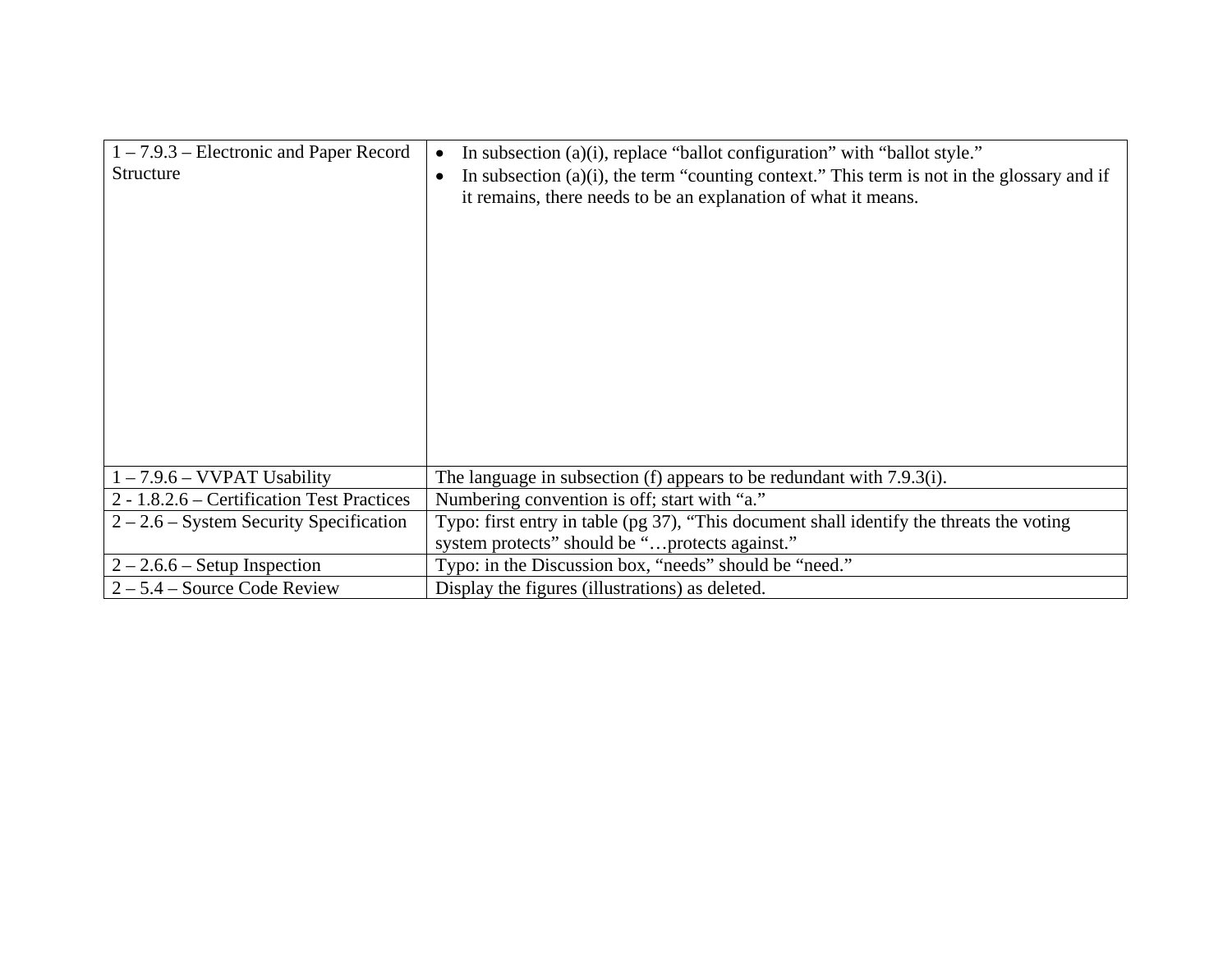| $1 - 7.9.3$ – Electronic and Paper Record<br>Structure | In subsection (a)(i), replace "ballot configuration" with "ballot style."<br>$\bullet$<br>In subsection $(a)(i)$ , the term "counting context." This term is not in the glossary and if<br>$\bullet$<br>it remains, there needs to be an explanation of what it means. |  |
|--------------------------------------------------------|------------------------------------------------------------------------------------------------------------------------------------------------------------------------------------------------------------------------------------------------------------------------|--|
| $1 - 7.9.6 - VVPAT$ Usability                          | The language in subsection (f) appears to be redundant with 7.9.3(i).                                                                                                                                                                                                  |  |
| 2 - 1.8.2.6 – Certification Test Practices             | Numbering convention is off; start with "a."                                                                                                                                                                                                                           |  |
| $2 - 2.6$ – System Security Specification              | Typo: first entry in table (pg 37), "This document shall identify the threats the voting                                                                                                                                                                               |  |
|                                                        | system protects" should be "protects against."                                                                                                                                                                                                                         |  |
| $2 - 2.6.6$ – Setup Inspection                         | Typo: in the Discussion box, "needs" should be "need."                                                                                                                                                                                                                 |  |
| $2 - 5.4$ – Source Code Review                         | Display the figures (illustrations) as deleted.                                                                                                                                                                                                                        |  |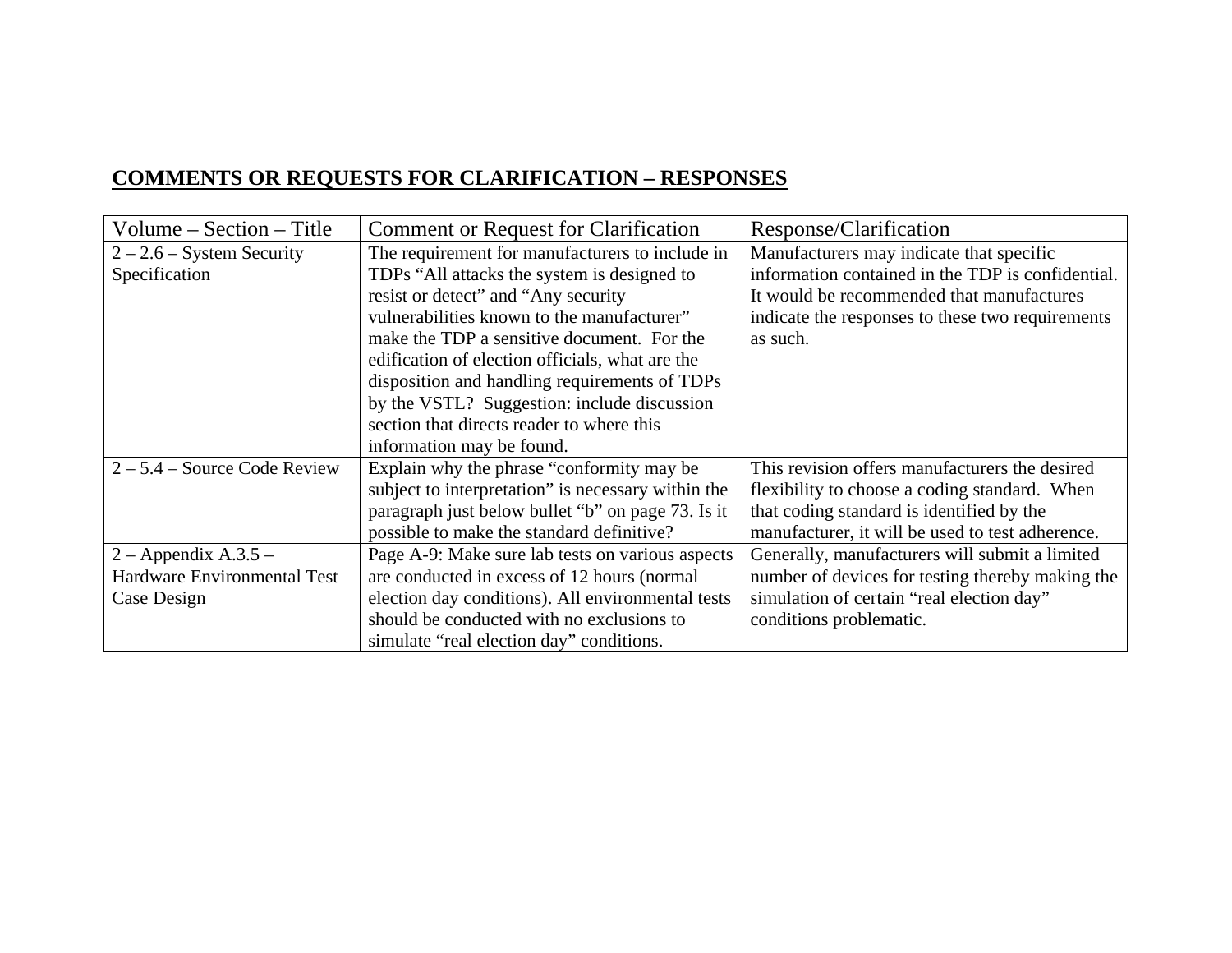# **COMMENTS OR REQUESTS FOR CLARIFICATION – RESPONSES**

| Volume $-$ Section $-$ Title       | <b>Comment or Request for Clarification</b>        | Response/Clarification                            |
|------------------------------------|----------------------------------------------------|---------------------------------------------------|
| $2 - 2.6$ – System Security        | The requirement for manufacturers to include in    | Manufacturers may indicate that specific          |
| Specification                      | TDPs "All attacks the system is designed to        | information contained in the TDP is confidential. |
|                                    | resist or detect" and "Any security"               | It would be recommended that manufactures         |
|                                    | vulnerabilities known to the manufacturer"         | indicate the responses to these two requirements  |
|                                    | make the TDP a sensitive document. For the         | as such.                                          |
|                                    | edification of election officials, what are the    |                                                   |
|                                    | disposition and handling requirements of TDPs      |                                                   |
|                                    | by the VSTL? Suggestion: include discussion        |                                                   |
|                                    | section that directs reader to where this          |                                                   |
|                                    | information may be found.                          |                                                   |
| $2 - 5.4$ – Source Code Review     | Explain why the phrase "conformity may be          | This revision offers manufacturers the desired    |
|                                    | subject to interpretation" is necessary within the | flexibility to choose a coding standard. When     |
|                                    | paragraph just below bullet "b" on page 73. Is it  | that coding standard is identified by the         |
|                                    | possible to make the standard definitive?          | manufacturer, it will be used to test adherence.  |
| 2 – Appendix A.3.5 –               | Page A-9: Make sure lab tests on various aspects   | Generally, manufacturers will submit a limited    |
| <b>Hardware Environmental Test</b> | are conducted in excess of 12 hours (normal        | number of devices for testing thereby making the  |
| Case Design                        | election day conditions). All environmental tests  | simulation of certain "real election day"         |
|                                    | should be conducted with no exclusions to          | conditions problematic.                           |
|                                    | simulate "real election day" conditions.           |                                                   |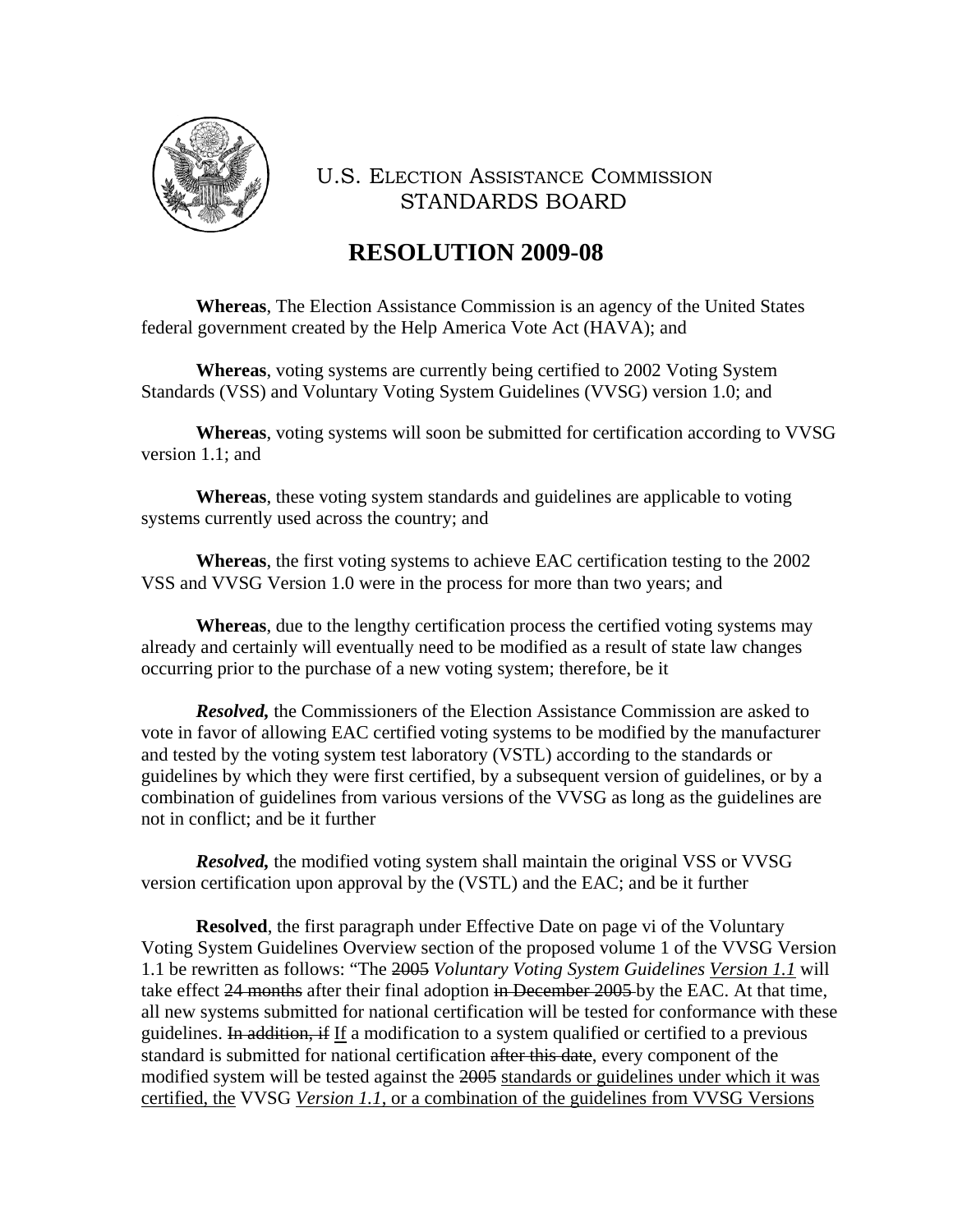

# **RESOLUTION 2009-08**

**Whereas**, The Election Assistance Commission is an agency of the United States federal government created by the Help America Vote Act (HAVA); and

**Whereas**, voting systems are currently being certified to 2002 Voting System Standards (VSS) and Voluntary Voting System Guidelines (VVSG) version 1.0; and

**Whereas**, voting systems will soon be submitted for certification according to VVSG version 1.1; and

**Whereas**, these voting system standards and guidelines are applicable to voting systems currently used across the country; and

**Whereas**, the first voting systems to achieve EAC certification testing to the 2002 VSS and VVSG Version 1.0 were in the process for more than two years; and

**Whereas**, due to the lengthy certification process the certified voting systems may already and certainly will eventually need to be modified as a result of state law changes occurring prior to the purchase of a new voting system; therefore, be it

*Resolved*, the Commissioners of the Election Assistance Commission are asked to vote in favor of allowing EAC certified voting systems to be modified by the manufacturer and tested by the voting system test laboratory (VSTL) according to the standards or guidelines by which they were first certified, by a subsequent version of guidelines, or by a combination of guidelines from various versions of the VVSG as long as the guidelines are not in conflict; and be it further

*Resolved*, the modified voting system shall maintain the original VSS or VVSG version certification upon approval by the (VSTL) and the EAC; and be it further

**Resolved**, the first paragraph under Effective Date on page vi of the Voluntary Voting System Guidelines Overview section of the proposed volume 1 of the VVSG Version 1.1 be rewritten as follows: "The 2005 *Voluntary Voting System Guidelines Version 1.1* will take effect 24 months after their final adoption in December 2005 by the EAC. At that time, all new systems submitted for national certification will be tested for conformance with these guidelines. In addition, if If a modification to a system qualified or certified to a previous standard is submitted for national certification after this date, every component of the modified system will be tested against the 2005 standards or guidelines under which it was certified, the VVSG *Version 1.1*, or a combination of the guidelines from VVSG Versions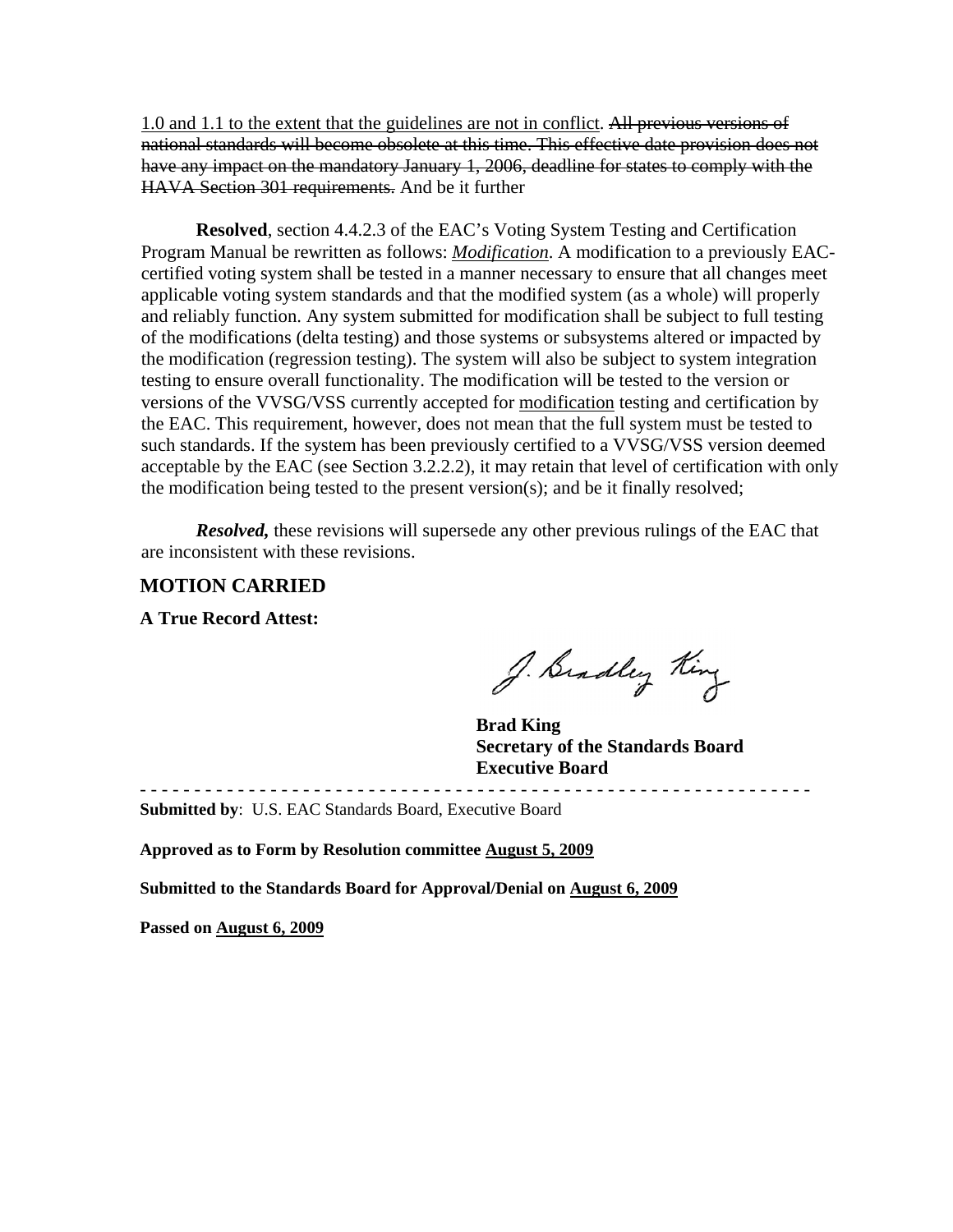1.0 and 1.1 to the extent that the guidelines are not in conflict. All previous versions of national standards will become obsolete at this time. This effective date provision does not have any impact on the mandatory January 1, 2006, deadline for states to comply with the HAVA Section 301 requirements. And be it further

**Resolved**, section 4.4.2.3 of the EAC's Voting System Testing and Certification Program Manual be rewritten as follows: *Modification*. A modification to a previously EACcertified voting system shall be tested in a manner necessary to ensure that all changes meet applicable voting system standards and that the modified system (as a whole) will properly and reliably function. Any system submitted for modification shall be subject to full testing of the modifications (delta testing) and those systems or subsystems altered or impacted by the modification (regression testing). The system will also be subject to system integration testing to ensure overall functionality. The modification will be tested to the version or versions of the VVSG/VSS currently accepted for modification testing and certification by the EAC. This requirement, however, does not mean that the full system must be tested to such standards. If the system has been previously certified to a VVSG/VSS version deemed acceptable by the EAC (see Section 3.2.2.2), it may retain that level of certification with only the modification being tested to the present version(s); and be it finally resolved;

*Resolved,* these revisions will supersede any other previous rulings of the EAC that are inconsistent with these revisions.

#### **MOTION CARRIED**

**A True Record Attest:** 

J. Bradley King

 **Brad King Secretary of the Standards Board Executive Board** 

- - - - - - - - - - - - - - - - - - - - - - - - - - - - - - - - - - - - - - - - - - - - - - - - - - - - - - - - - - - - - -

**Submitted by**: U.S. EAC Standards Board, Executive Board

**Approved as to Form by Resolution committee August 5, 2009**

**Submitted to the Standards Board for Approval/Denial on August 6, 2009**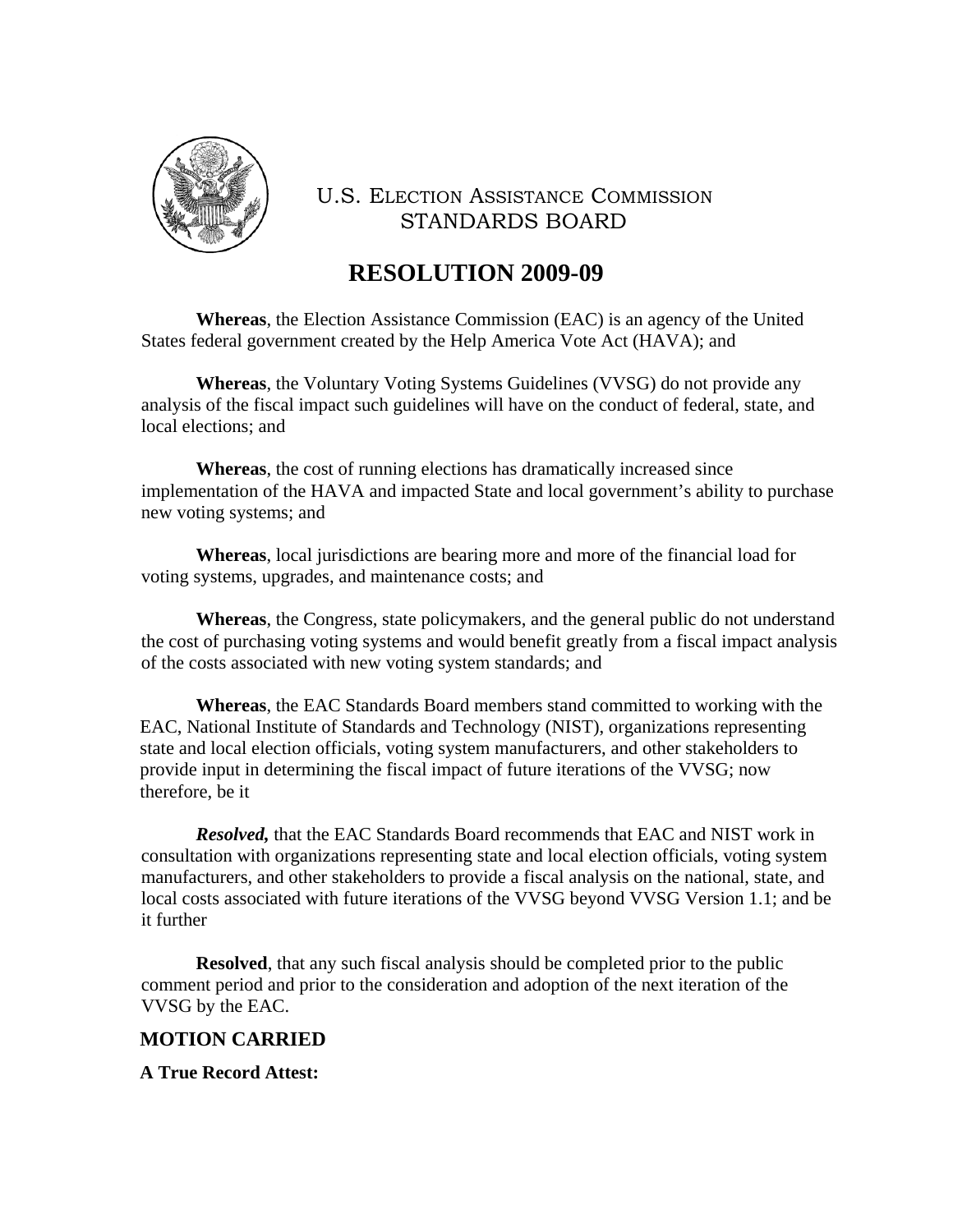

## **RESOLUTION 2009-09**

**Whereas**, the Election Assistance Commission (EAC) is an agency of the United States federal government created by the Help America Vote Act (HAVA); and

**Whereas**, the Voluntary Voting Systems Guidelines (VVSG) do not provide any analysis of the fiscal impact such guidelines will have on the conduct of federal, state, and local elections; and

**Whereas**, the cost of running elections has dramatically increased since implementation of the HAVA and impacted State and local government's ability to purchase new voting systems; and

**Whereas**, local jurisdictions are bearing more and more of the financial load for voting systems, upgrades, and maintenance costs; and

**Whereas**, the Congress, state policymakers, and the general public do not understand the cost of purchasing voting systems and would benefit greatly from a fiscal impact analysis of the costs associated with new voting system standards; and

**Whereas**, the EAC Standards Board members stand committed to working with the EAC, National Institute of Standards and Technology (NIST), organizations representing state and local election officials, voting system manufacturers, and other stakeholders to provide input in determining the fiscal impact of future iterations of the VVSG; now therefore, be it

*Resolved,* that the EAC Standards Board recommends that EAC and NIST work in consultation with organizations representing state and local election officials, voting system manufacturers, and other stakeholders to provide a fiscal analysis on the national, state, and local costs associated with future iterations of the VVSG beyond VVSG Version 1.1; and be it further

**Resolved**, that any such fiscal analysis should be completed prior to the public comment period and prior to the consideration and adoption of the next iteration of the VVSG by the EAC.

#### **MOTION CARRIED**

**A True Record Attest:**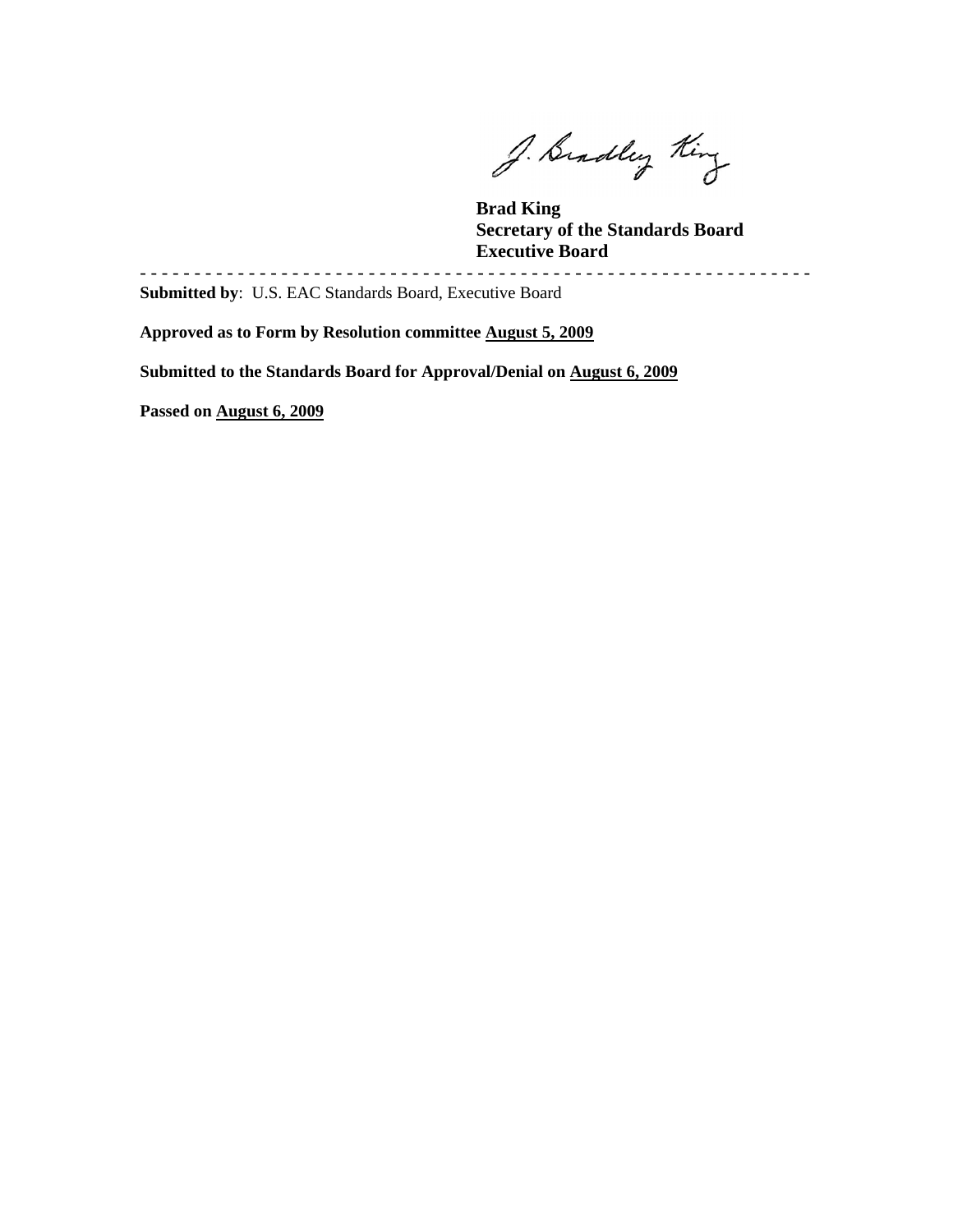J. Bradley King

 **Brad King Secretary of the Standards Board Executive Board** 

**Submitted by**: U.S. EAC Standards Board, Executive Board

**Approved as to Form by Resolution committee August 5, 2009**

**Submitted to the Standards Board for Approval/Denial on August 6, 2009**

- - - - - - - - - - - - - - - - - - - - - - - - - - - - - - - - - - - - - - - - - - - - - - - - - - - - - - - - - - - - - -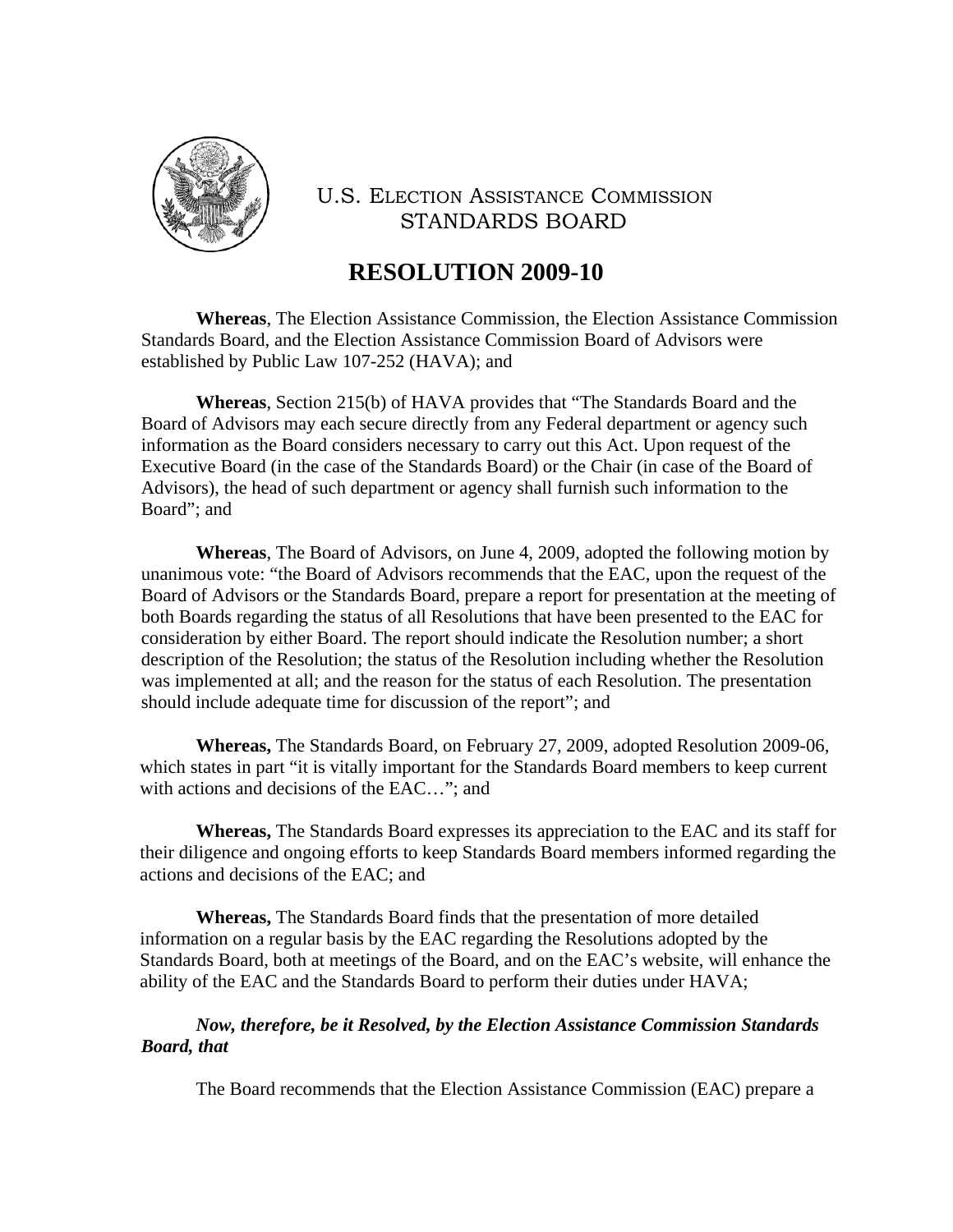

# **RESOLUTION 2009-10**

**Whereas**, The Election Assistance Commission, the Election Assistance Commission Standards Board, and the Election Assistance Commission Board of Advisors were established by Public Law 107-252 (HAVA); and

**Whereas**, Section 215(b) of HAVA provides that "The Standards Board and the Board of Advisors may each secure directly from any Federal department or agency such information as the Board considers necessary to carry out this Act. Upon request of the Executive Board (in the case of the Standards Board) or the Chair (in case of the Board of Advisors), the head of such department or agency shall furnish such information to the Board"; and

**Whereas**, The Board of Advisors, on June 4, 2009, adopted the following motion by unanimous vote: "the Board of Advisors recommends that the EAC, upon the request of the Board of Advisors or the Standards Board, prepare a report for presentation at the meeting of both Boards regarding the status of all Resolutions that have been presented to the EAC for consideration by either Board. The report should indicate the Resolution number; a short description of the Resolution; the status of the Resolution including whether the Resolution was implemented at all; and the reason for the status of each Resolution. The presentation should include adequate time for discussion of the report"; and

**Whereas,** The Standards Board, on February 27, 2009, adopted Resolution 2009-06, which states in part "it is vitally important for the Standards Board members to keep current with actions and decisions of the EAC…"; and

**Whereas,** The Standards Board expresses its appreciation to the EAC and its staff for their diligence and ongoing efforts to keep Standards Board members informed regarding the actions and decisions of the EAC; and

**Whereas,** The Standards Board finds that the presentation of more detailed information on a regular basis by the EAC regarding the Resolutions adopted by the Standards Board, both at meetings of the Board, and on the EAC's website, will enhance the ability of the EAC and the Standards Board to perform their duties under HAVA;

#### *Now, therefore, be it Resolved, by the Election Assistance Commission Standards Board, that*

The Board recommends that the Election Assistance Commission (EAC) prepare a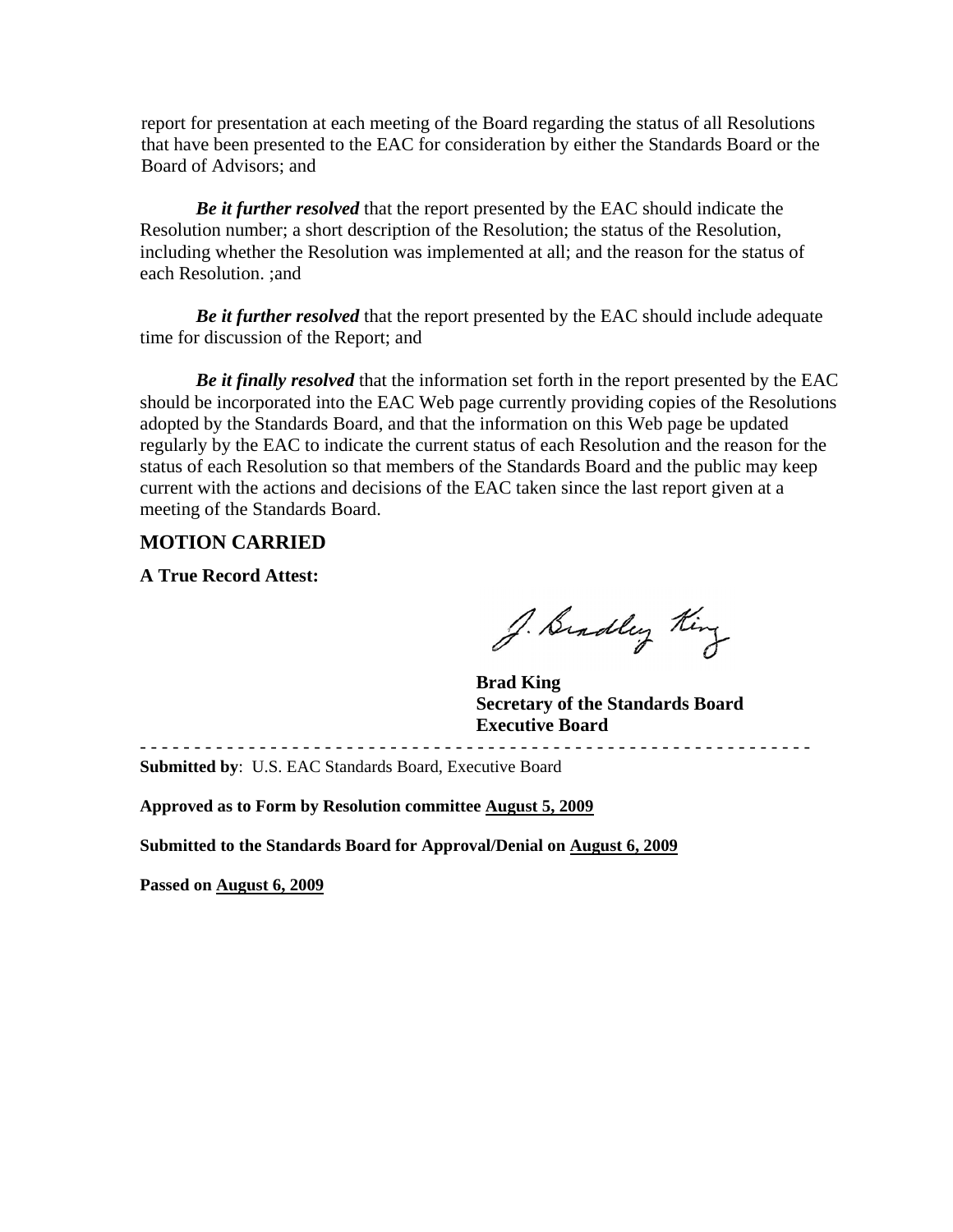report for presentation at each meeting of the Board regarding the status of all Resolutions that have been presented to the EAC for consideration by either the Standards Board or the Board of Advisors; and

*Be it further resolved* that the report presented by the EAC should indicate the Resolution number; a short description of the Resolution; the status of the Resolution, including whether the Resolution was implemented at all; and the reason for the status of each Resolution. ;and

*Be it further resolved* that the report presented by the EAC should include adequate time for discussion of the Report; and

*Be it finally resolved* that the information set forth in the report presented by the EAC should be incorporated into the EAC Web page currently providing copies of the Resolutions adopted by the Standards Board, and that the information on this Web page be updated regularly by the EAC to indicate the current status of each Resolution and the reason for the status of each Resolution so that members of the Standards Board and the public may keep current with the actions and decisions of the EAC taken since the last report given at a meeting of the Standards Board.

#### **MOTION CARRIED**

**A True Record Attest:** 

J. Bradley King

 **Brad King Secretary of the Standards Board Executive Board**  - - - - - - - - - - - - - - - - - - - - - - - - - - - - - - - - - - - - - - - - - - - - - - - - - - - - - - - - - - - - - -

**Submitted by**: U.S. EAC Standards Board, Executive Board

**Approved as to Form by Resolution committee August 5, 2009**

**Submitted to the Standards Board for Approval/Denial on August 6, 2009**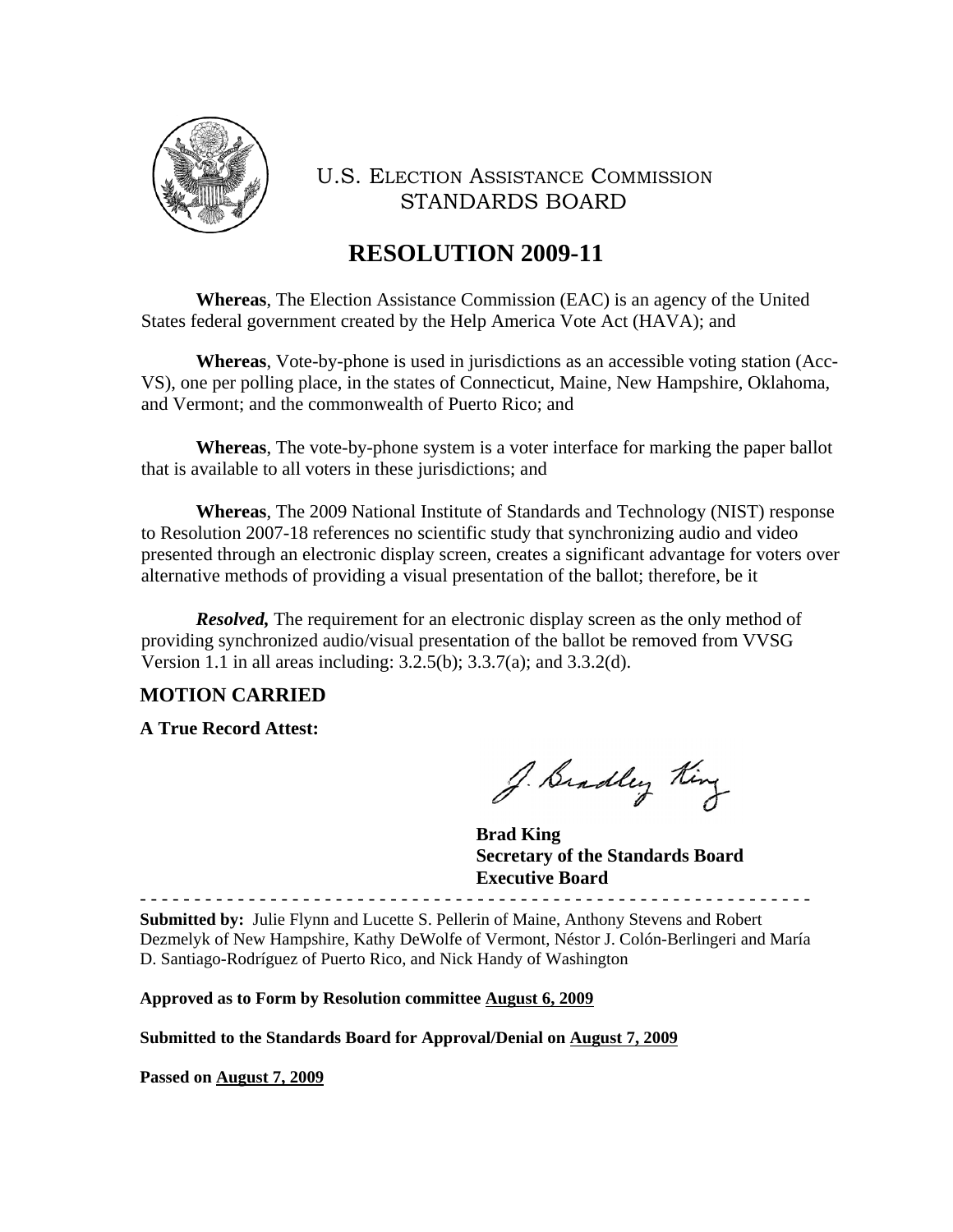

# **RESOLUTION 2009-11**

**Whereas**, The Election Assistance Commission (EAC) is an agency of the United States federal government created by the Help America Vote Act (HAVA); and

**Whereas**, Vote-by-phone is used in jurisdictions as an accessible voting station (Acc-VS), one per polling place, in the states of Connecticut, Maine, New Hampshire, Oklahoma, and Vermont; and the commonwealth of Puerto Rico; and

**Whereas**, The vote-by-phone system is a voter interface for marking the paper ballot that is available to all voters in these jurisdictions; and

**Whereas**, The 2009 National Institute of Standards and Technology (NIST) response to Resolution 2007-18 references no scientific study that synchronizing audio and video presented through an electronic display screen, creates a significant advantage for voters over alternative methods of providing a visual presentation of the ballot; therefore, be it

*Resolved*, The requirement for an electronic display screen as the only method of providing synchronized audio/visual presentation of the ballot be removed from VVSG Version 1.1 in all areas including: 3.2.5(b); 3.3.7(a); and 3.3.2(d).

#### **MOTION CARRIED**

**A True Record Attest:** 

J. Bradley King

 **Brad King Secretary of the Standards Board Executive Board** 

- - - - - - - - - - - - - - - - - - - - - - - - - - - - - - - - - - - - - - - - - - - - - - - - - - - - - - - - - - - - - - **Submitted by:** Julie Flynn and Lucette S. Pellerin of Maine, Anthony Stevens and Robert Dezmelyk of New Hampshire, Kathy DeWolfe of Vermont, Néstor J. Colón-Berlingeri and María D. Santiago-Rodríguez of Puerto Rico, and Nick Handy of Washington

**Approved as to Form by Resolution committee August 6, 2009**

**Submitted to the Standards Board for Approval/Denial on August 7, 2009**